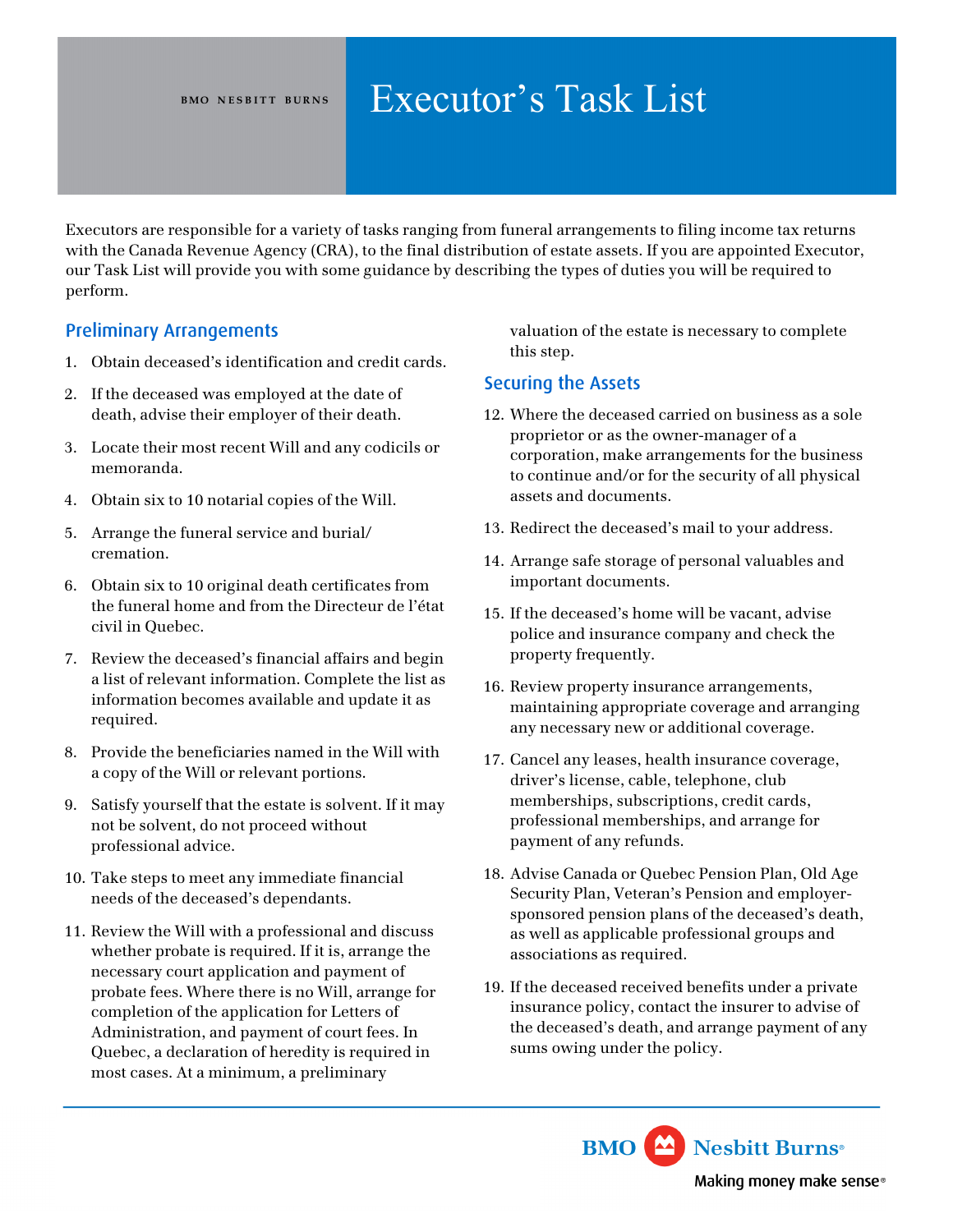# BMO NESBITT BURNS **Executor's Task List**

Executors are responsible for a variety of tasks ranging from funeral arrangements to filing income tax returns with the Canada Revenue Agency (CRA), to the final distribution of estate assets. If you are appointed Executor, our Task List will provide you with some guidance by describing the types of duties you will be required to perform.

## Preliminary Arrangements

- 1. Obtain deceased's identification and credit cards.
- 2. If the deceased was employed at the date of death, advise their employer of their death.
- 3. Locate their most recent Will and any codicils or memoranda.
- 4. Obtain six to 10 notarial copies of the Will.
- 5. Arrange the funeral service and burial/ cremation.
- 6. Obtain six to 10 original death certificates from the funeral home and from the Directeur de l'état civil in Quebec.
- 7. Review the deceased's financial affairs and begin a list of relevant information. Complete the list as information becomes available and update it as required.
- 8. Provide the beneficiaries named in the Will with a copy of the Will or relevant portions.
- 9. Satisfy yourself that the estate is solvent. If it may not be solvent, do not proceed without professional advice.
- 10. Take steps to meet any immediate financial needs of the deceased's dependants.
- 11. Review the Will with a professional and discuss whether probate is required. If it is, arrange the necessary court application and payment of probate fees. Where there is no Will, arrange for completion of the application for Letters of Administration, and payment of court fees. In Quebec, a declaration of heredity is required in most cases. At a minimum, a preliminary

valuation of the estate is necessary to complete this step.

### Securing the Assets

- 12. Where the deceased carried on business as a sole proprietor or as the owner-manager of a corporation, make arrangements for the business to continue and/or for the security of all physical assets and documents.
- 13. Redirect the deceased's mail to your address.
- 14. Arrange safe storage of personal valuables and important documents.
- 15. If the deceased's home will be vacant, advise police and insurance company and check the property frequently.
- 16. Review property insurance arrangements, maintaining appropriate coverage and arranging any necessary new or additional coverage.
- 17. Cancel any leases, health insurance coverage, driver's license, cable, telephone, club memberships, subscriptions, credit cards, professional memberships, and arrange for payment of any refunds.
- 18. Advise Canada or Quebec Pension Plan, Old Age Security Plan, Veteran's Pension and employersponsored pension plans of the deceased's death, as well as applicable professional groups and associations as required.
- 19. If the deceased received benefits under a private insurance policy, contact the insurer to advise of the deceased's death, and arrange payment of any sums owing under the policy.

**BMO** Nesbitt Burns<sup>®</sup>

Making money make sense®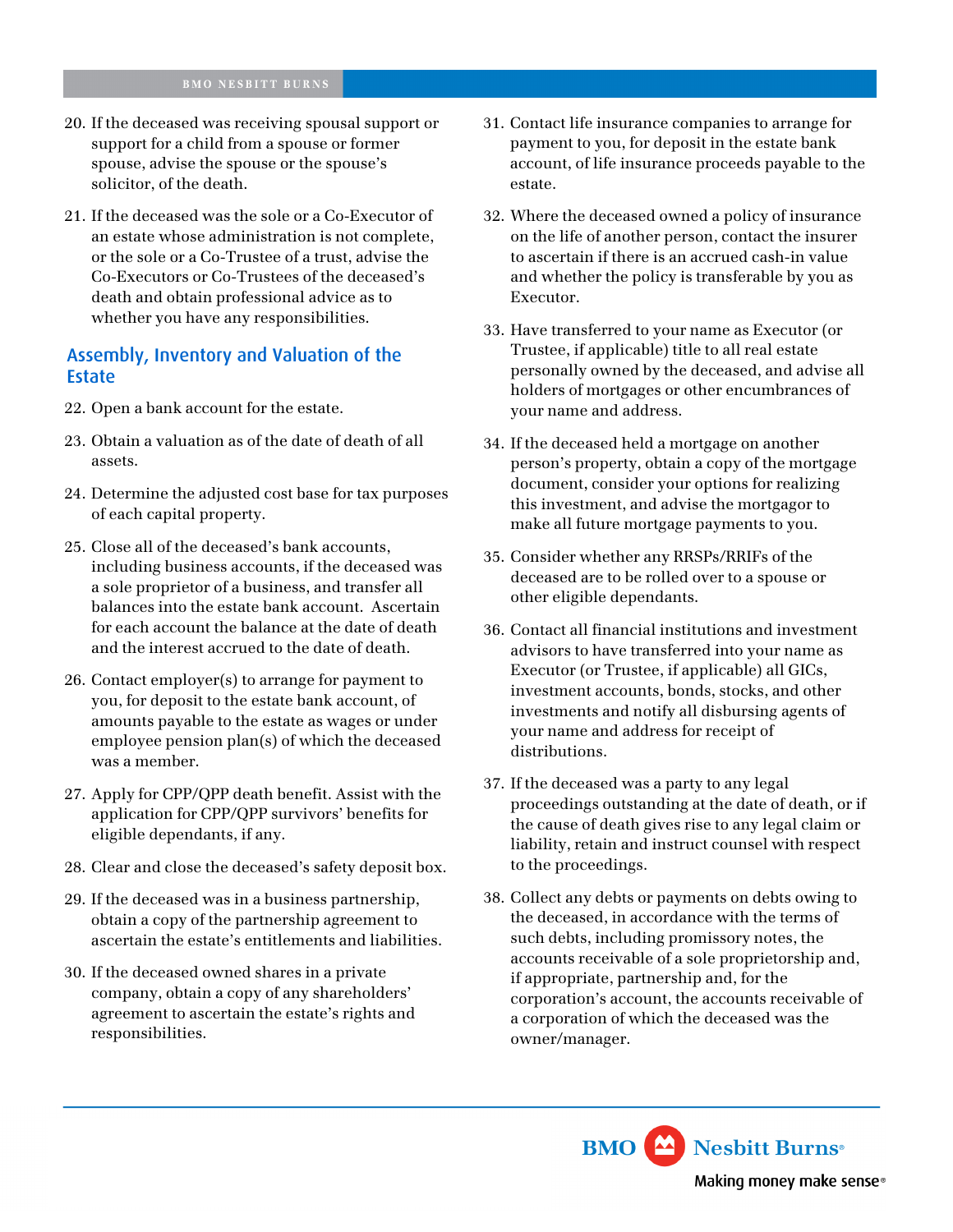- 20. If the deceased was receiving spousal support or support for a child from a spouse or former spouse, advise the spouse or the spouse's solicitor, of the death.
- 21. If the deceased was the sole or a Co-Executor of an estate whose administration is not complete, or the sole or a Co-Trustee of a trust, advise the Co-Executors or Co-Trustees of the deceased's death and obtain professional advice as to whether you have any responsibilities.

#### Assembly, Inventory and Valuation of the Estate

- 22. Open a bank account for the estate.
- 23. Obtain a valuation as of the date of death of all assets.
- 24. Determine the adjusted cost base for tax purposes of each capital property.
- 25. Close all of the deceased's bank accounts, including business accounts, if the deceased was a sole proprietor of a business, and transfer all balances into the estate bank account. Ascertain for each account the balance at the date of death and the interest accrued to the date of death.
- 26. Contact employer(s) to arrange for payment to you, for deposit to the estate bank account, of amounts payable to the estate as wages or under employee pension plan(s) of which the deceased was a member.
- 27. Apply for CPP/QPP death benefit. Assist with the application for CPP/QPP survivors' benefits for eligible dependants, if any.
- 28. Clear and close the deceased's safety deposit box.
- 29. If the deceased was in a business partnership, obtain a copy of the partnership agreement to ascertain the estate's entitlements and liabilities.
- 30. If the deceased owned shares in a private company, obtain a copy of any shareholders' agreement to ascertain the estate's rights and responsibilities.
- 31. Contact life insurance companies to arrange for payment to you, for deposit in the estate bank account, of life insurance proceeds payable to the estate.
- 32. Where the deceased owned a policy of insurance on the life of another person, contact the insurer to ascertain if there is an accrued cash-in value and whether the policy is transferable by you as Executor.
- 33. Have transferred to your name as Executor (or Trustee, if applicable) title to all real estate personally owned by the deceased, and advise all holders of mortgages or other encumbrances of your name and address.
- 34. If the deceased held a mortgage on another person's property, obtain a copy of the mortgage document, consider your options for realizing this investment, and advise the mortgagor to make all future mortgage payments to you.
- 35. Consider whether any RRSPs/RRIFs of the deceased are to be rolled over to a spouse or other eligible dependants.
- 36. Contact all financial institutions and investment advisors to have transferred into your name as Executor (or Trustee, if applicable) all GICs, investment accounts, bonds, stocks, and other investments and notify all disbursing agents of your name and address for receipt of distributions.
- 37. If the deceased was a party to any legal proceedings outstanding at the date of death, or if the cause of death gives rise to any legal claim or liability, retain and instruct counsel with respect to the proceedings.
- 38. Collect any debts or payments on debts owing to the deceased, in accordance with the terms of such debts, including promissory notes, the accounts receivable of a sole proprietorship and, if appropriate, partnership and, for the corporation's account, the accounts receivable of a corporation of which the deceased was the owner/manager.

**BMO** Nesbitt Burns<sup>®</sup> Making money make sense®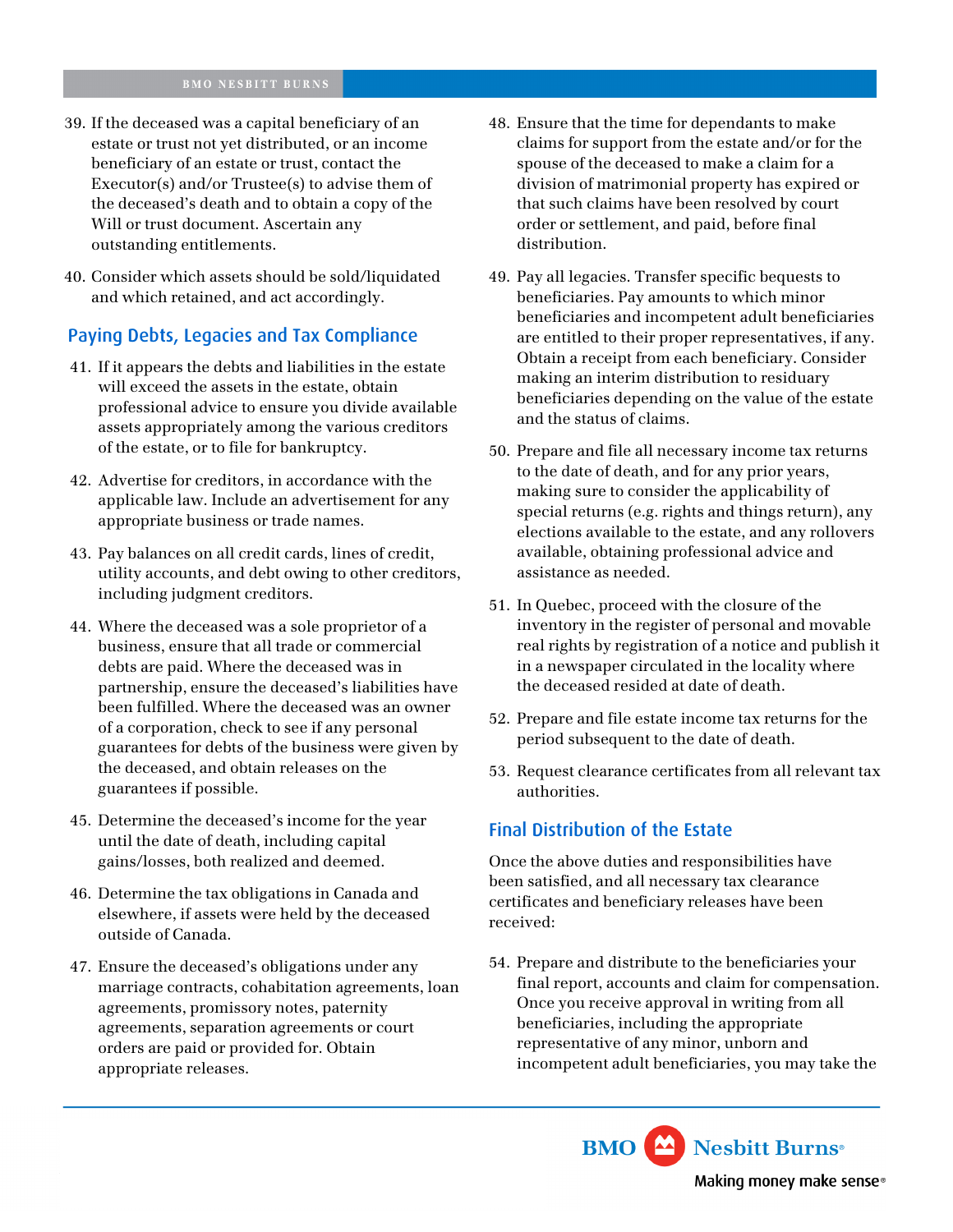- 39. If the deceased was a capital beneficiary of an estate or trust not yet distributed, or an income beneficiary of an estate or trust, contact the Executor(s) and/or Trustee(s) to advise them of the deceased's death and to obtain a copy of the Will or trust document. Ascertain any outstanding entitlements.
- 40. Consider which assets should be sold/liquidated and which retained, and act accordingly.

#### Paying Debts, Legacies and Tax Compliance

- 41. If it appears the debts and liabilities in the estate will exceed the assets in the estate, obtain professional advice to ensure you divide available assets appropriately among the various creditors of the estate, or to file for bankruptcy.
- 42. Advertise for creditors, in accordance with the applicable law. Include an advertisement for any appropriate business or trade names.
- 43. Pay balances on all credit cards, lines of credit, utility accounts, and debt owing to other creditors, including judgment creditors.
- 44. Where the deceased was a sole proprietor of a business, ensure that all trade or commercial debts are paid. Where the deceased was in partnership, ensure the deceased's liabilities have been fulfilled. Where the deceased was an owner of a corporation, check to see if any personal guarantees for debts of the business were given by the deceased, and obtain releases on the guarantees if possible.
- 45. Determine the deceased's income for the year until the date of death, including capital gains/losses, both realized and deemed.
- 46. Determine the tax obligations in Canada and elsewhere, if assets were held by the deceased outside of Canada.
- 47. Ensure the deceased's obligations under any marriage contracts, cohabitation agreements, loan agreements, promissory notes, paternity agreements, separation agreements or court orders are paid or provided for. Obtain appropriate releases.
- 48. Ensure that the time for dependants to make claims for support from the estate and/or for the spouse of the deceased to make a claim for a division of matrimonial property has expired or that such claims have been resolved by court order or settlement, and paid, before final distribution.
- 49. Pay all legacies. Transfer specific bequests to beneficiaries. Pay amounts to which minor beneficiaries and incompetent adult beneficiaries are entitled to their proper representatives, if any. Obtain a receipt from each beneficiary. Consider making an interim distribution to residuary beneficiaries depending on the value of the estate and the status of claims.
- 50. Prepare and file all necessary income tax returns to the date of death, and for any prior years, making sure to consider the applicability of special returns (e.g. rights and things return), any elections available to the estate, and any rollovers available, obtaining professional advice and assistance as needed.
- 51. In Quebec, proceed with the closure of the inventory in the register of personal and movable real rights by registration of a notice and publish it in a newspaper circulated in the locality where the deceased resided at date of death.
- 52. Prepare and file estate income tax returns for the period subsequent to the date of death.
- 53. Request clearance certificates from all relevant tax authorities.

#### Final Distribution of the Estate

Once the above duties and responsibilities have been satisfied, and all necessary tax clearance certificates and beneficiary releases have been received:

54. Prepare and distribute to the beneficiaries your final report, accounts and claim for compensation. Once you receive approval in writing from all beneficiaries, including the appropriate representative of any minor, unborn and incompetent adult beneficiaries, you may take the

> **BMO** Nesbitt Burns<sup>®</sup> Making money make sense®